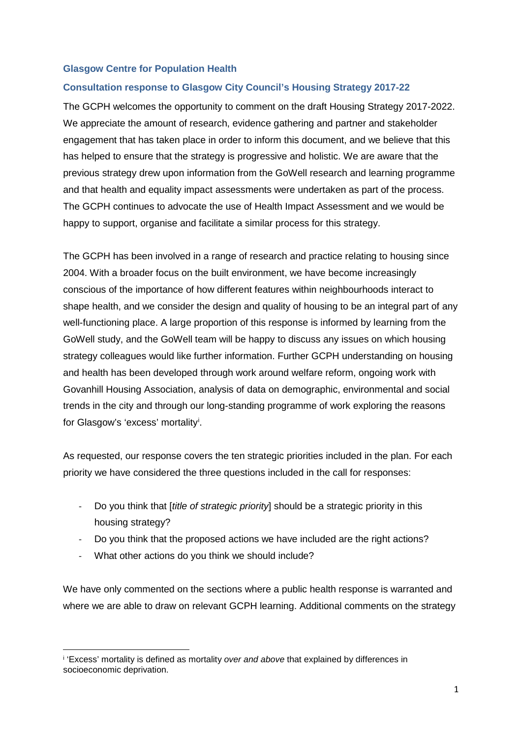## **Glasgow Centre for Population Health**

# **Consultation response to Glasgow City Council's Housing Strategy 2017-22**

The GCPH welcomes the opportunity to comment on the draft Housing Strategy 2017-2022. We appreciate the amount of research, evidence gathering and partner and stakeholder engagement that has taken place in order to inform this document, and we believe that this has helped to ensure that the strategy is progressive and holistic. We are aware that the previous strategy drew upon information from the GoWell research and learning programme and that health and equality impact assessments were undertaken as part of the process. The GCPH continues to advocate the use of Health Impact Assessment and we would be happy to support, organise and facilitate a similar process for this strategy.

The GCPH has been involved in a range of research and practice relating to housing since 2004. With a broader focus on the built environment, we have become increasingly conscious of the importance of how different features within neighbourhoods interact to shape health, and we consider the design and quality of housing to be an integral part of any well-functioning place. A large proportion of this response is informed by learning from the GoWell study, and the GoWell team will be happy to discuss any issues on which housing strategy colleagues would like further information. Further GCPH understanding on housing and health has been developed through work around welfare reform, ongoing work with Govanhill Housing Association, analysis of data on demographic, environmental and social trends in the city and through our long-standing programme of work exploring the reasons for Glasgow's 'excess' mortality[i](#page-0-0) .

As requested, our response covers the ten strategic priorities included in the plan. For each priority we have considered the three questions included in the call for responses:

- Do you think that [*title of strategic priority*] should be a strategic priority in this housing strategy?
- Do you think that the proposed actions we have included are the right actions?
- What other actions do you think we should include?

We have only commented on the sections where a public health response is warranted and where we are able to draw on relevant GCPH learning. Additional comments on the strategy

<span id="page-0-0"></span> $\overline{\phantom{a}}$ <sup>i</sup> 'Excess' mortality is defined as mortality *over and above* that explained by differences in socioeconomic deprivation.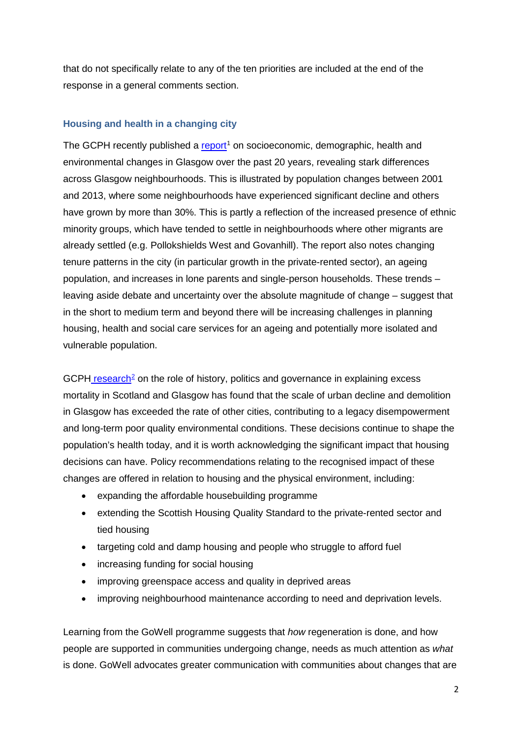that do not specifically relate to any of the ten priorities are included at the end of the response in a general comments section.

# **Housing and health in a changing city**

The GCPH recently published a  $report<sup>1</sup>$  $report<sup>1</sup>$  $report<sup>1</sup>$  on socioeconomic, demographic, health and</u> environmental changes in Glasgow over the past 20 years, revealing stark differences across Glasgow neighbourhoods. This is illustrated by population changes between 2001 and 2013, where some neighbourhoods have experienced significant decline and others have grown by more than 30%. This is partly a reflection of the increased presence of ethnic minority groups, which have tended to settle in neighbourhoods where other migrants are already settled (e.g. Pollokshields West and Govanhill). The report also notes changing tenure patterns in the city (in particular growth in the private-rented sector), an ageing population, and increases in lone parents and single-person households. These trends – leaving aside debate and uncertainty over the absolute magnitude of change – suggest that in the short to medium term and beyond there will be increasing challenges in planning housing, health and social care services for an ageing and potentially more isolated and vulnerable population.

 $GCPH$  [research](http://www.gcph.co.uk/publications/635_history_politics_and_vulnerability_explaining_excess_mortality)<sup>[2](#page-11-1)</sup> on the role of history, politics and governance in explaining excess mortality in Scotland and Glasgow has found that the scale of urban decline and demolition in Glasgow has exceeded the rate of other cities, contributing to a legacy disempowerment and long-term poor quality environmental conditions. These decisions continue to shape the population's health today, and it is worth acknowledging the significant impact that housing decisions can have. Policy recommendations relating to the recognised impact of these changes are offered in relation to housing and the physical environment, including:

- expanding the affordable housebuilding programme
- extending the Scottish Housing Quality Standard to the private-rented sector and tied housing
- targeting cold and damp housing and people who struggle to afford fuel
- increasing funding for social housing
- improving greenspace access and quality in deprived areas
- improving neighbourhood maintenance according to need and deprivation levels.

Learning from the GoWell programme suggests that *how* regeneration is done, and how people are supported in communities undergoing change, needs as much attention as *what* is done. GoWell advocates greater communication with communities about changes that are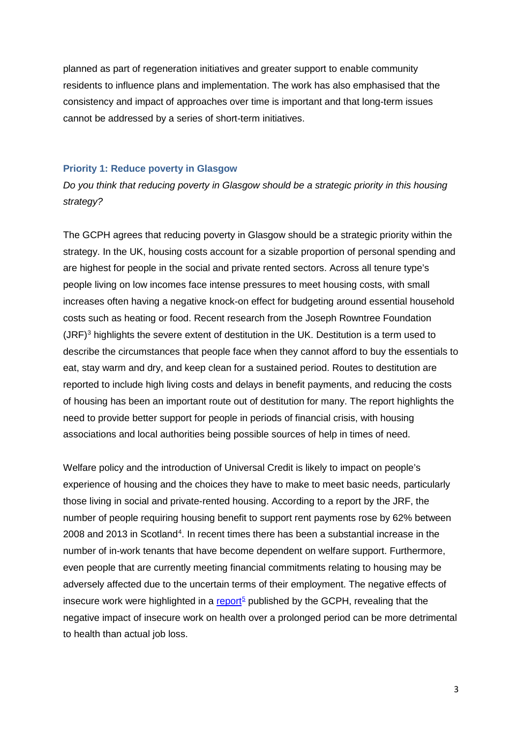planned as part of regeneration initiatives and greater support to enable community residents to influence plans and implementation. The work has also emphasised that the consistency and impact of approaches over time is important and that long-term issues cannot be addressed by a series of short-term initiatives.

#### **Priority 1: Reduce poverty in Glasgow**

*Do you think that reducing poverty in Glasgow should be a strategic priority in this housing strategy?* 

The GCPH agrees that reducing poverty in Glasgow should be a strategic priority within the strategy. In the UK, housing costs account for a sizable proportion of personal spending and are highest for people in the social and private rented sectors. Across all tenure type's people living on low incomes face intense pressures to meet housing costs, with small increases often having a negative knock-on effect for budgeting around essential household costs such as heating or food. Recent research from the Joseph Rowntree Foundation  $(JRF)^3$  $(JRF)^3$  highlights the severe extent of destitution in the UK. Destitution is a term used to describe the circumstances that people face when they cannot afford to buy the essentials to eat, stay warm and dry, and keep clean for a sustained period. Routes to destitution are reported to include high living costs and delays in benefit payments, and reducing the costs of housing has been an important route out of destitution for many. The report highlights the need to provide better support for people in periods of financial crisis, with housing associations and local authorities being possible sources of help in times of need.

Welfare policy and the introduction of Universal Credit is likely to impact on people's experience of housing and the choices they have to make to meet basic needs, particularly those living in social and private-rented housing. According to a report by the JRF, the number of people requiring housing benefit to support rent payments rose by 62% between 2008 and 2013 in Scotland<sup>[4](#page-11-3)</sup>. In recent times there has been a substantial increase in the number of in-work tenants that have become dependent on welfare support. Furthermore, even people that are currently meeting financial commitments relating to housing may be adversely affected due to the uncertain terms of their employment. The negative effects of insecure work were highlighted in a [report](http://www.gcph.co.uk/publications/456_the_rise_of_in-work_poverty)<sup>[5](#page-11-4)</sup> published by the GCPH, revealing that the negative impact of insecure work on health over a prolonged period can be more detrimental to health than actual job loss.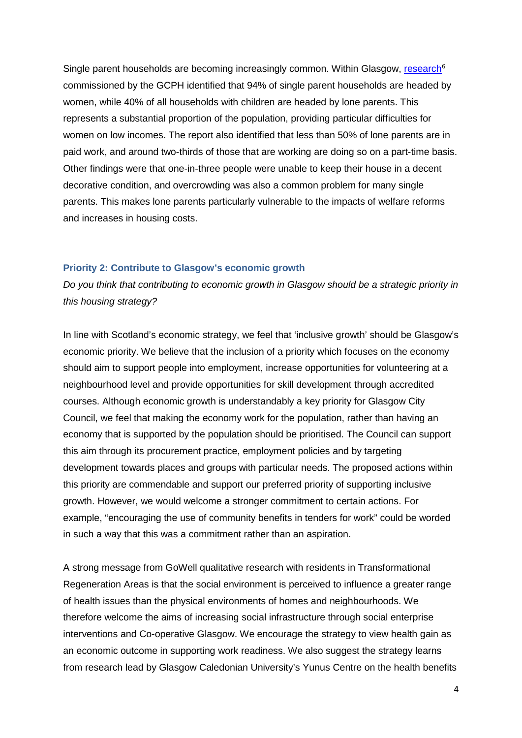Single parent households are becoming increasingly common. Within Glasgow, [research](http://www.gcph.co.uk/publications/497_impacts_of_welfare_reforms_on_lone_parents_moving_into_work_report)<sup>[6](#page-11-5)</sup> commissioned by the GCPH identified that 94% of single parent households are headed by women, while 40% of all households with children are headed by lone parents. This represents a substantial proportion of the population, providing particular difficulties for women on low incomes. The report also identified that less than 50% of lone parents are in paid work, and around two-thirds of those that are working are doing so on a part-time basis. Other findings were that one-in-three people were unable to keep their house in a decent decorative condition, and overcrowding was also a common problem for many single parents. This makes lone parents particularly vulnerable to the impacts of welfare reforms and increases in housing costs.

#### **Priority 2: Contribute to Glasgow's economic growth**

*Do you think that contributing to economic growth in Glasgow should be a strategic priority in this housing strategy?* 

In line with Scotland's economic strategy, we feel that 'inclusive growth' should be Glasgow's economic priority. We believe that the inclusion of a priority which focuses on the economy should aim to support people into employment, increase opportunities for volunteering at a neighbourhood level and provide opportunities for skill development through accredited courses. Although economic growth is understandably a key priority for Glasgow City Council, we feel that making the economy work for the population, rather than having an economy that is supported by the population should be prioritised. The Council can support this aim through its procurement practice, employment policies and by targeting development towards places and groups with particular needs. The proposed actions within this priority are commendable and support our preferred priority of supporting inclusive growth. However, we would welcome a stronger commitment to certain actions. For example, "encouraging the use of community benefits in tenders for work" could be worded in such a way that this was a commitment rather than an aspiration.

A strong message from GoWell qualitative research with residents in Transformational Regeneration Areas is that the social environment is perceived to influence a greater range of health issues than the physical environments of homes and neighbourhoods. We therefore welcome the aims of increasing social infrastructure through social enterprise interventions and Co-operative Glasgow. We encourage the strategy to view health gain as an economic outcome in supporting work readiness. We also suggest the strategy learns from research lead by Glasgow Caledonian University's Yunus Centre on the health benefits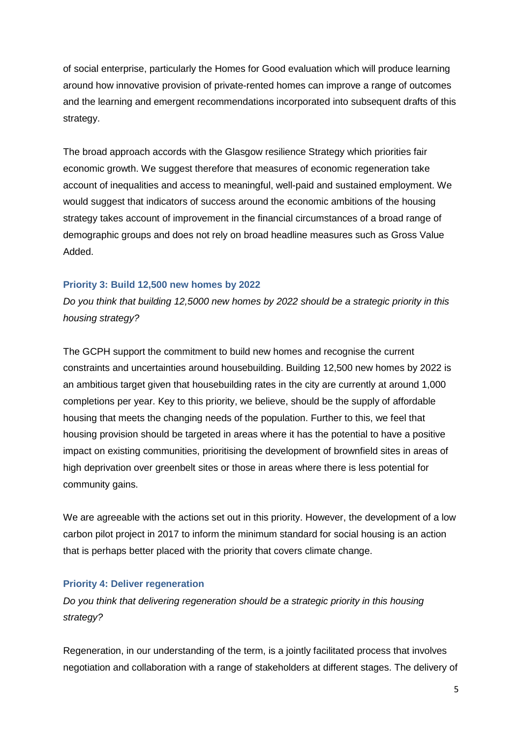of social enterprise, particularly the Homes for Good evaluation which will produce learning around how innovative provision of private-rented homes can improve a range of outcomes and the learning and emergent recommendations incorporated into subsequent drafts of this strategy.

The broad approach accords with the Glasgow resilience Strategy which priorities fair economic growth. We suggest therefore that measures of economic regeneration take account of inequalities and access to meaningful, well-paid and sustained employment. We would suggest that indicators of success around the economic ambitions of the housing strategy takes account of improvement in the financial circumstances of a broad range of demographic groups and does not rely on broad headline measures such as Gross Value Added.

### **Priority 3: Build 12,500 new homes by 2022**

*Do you think that building 12,5000 new homes by 2022 should be a strategic priority in this housing strategy?*

The GCPH support the commitment to build new homes and recognise the current constraints and uncertainties around housebuilding. Building 12,500 new homes by 2022 is an ambitious target given that housebuilding rates in the city are currently at around 1,000 completions per year. Key to this priority, we believe, should be the supply of affordable housing that meets the changing needs of the population. Further to this, we feel that housing provision should be targeted in areas where it has the potential to have a positive impact on existing communities, prioritising the development of brownfield sites in areas of high deprivation over greenbelt sites or those in areas where there is less potential for community gains.

We are agreeable with the actions set out in this priority. However, the development of a low carbon pilot project in 2017 to inform the minimum standard for social housing is an action that is perhaps better placed with the priority that covers climate change.

### **Priority 4: Deliver regeneration**

*Do you think that delivering regeneration should be a strategic priority in this housing strategy?* 

Regeneration, in our understanding of the term, is a jointly facilitated process that involves negotiation and collaboration with a range of stakeholders at different stages. The delivery of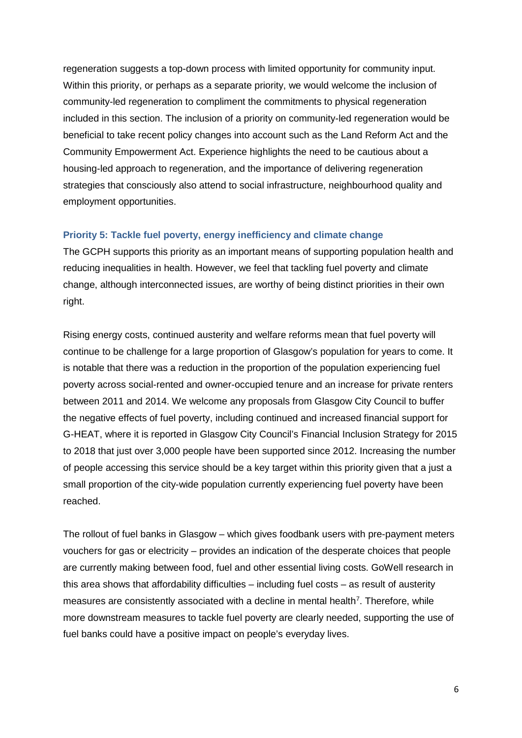regeneration suggests a top-down process with limited opportunity for community input. Within this priority, or perhaps as a separate priority, we would welcome the inclusion of community-led regeneration to compliment the commitments to physical regeneration included in this section. The inclusion of a priority on community-led regeneration would be beneficial to take recent policy changes into account such as the Land Reform Act and the Community Empowerment Act. Experience highlights the need to be cautious about a housing-led approach to regeneration, and the importance of delivering regeneration strategies that consciously also attend to social infrastructure, neighbourhood quality and employment opportunities.

# **Priority 5: Tackle fuel poverty, energy inefficiency and climate change**

The GCPH supports this priority as an important means of supporting population health and reducing inequalities in health. However, we feel that tackling fuel poverty and climate change, although interconnected issues, are worthy of being distinct priorities in their own right.

Rising energy costs, continued austerity and welfare reforms mean that fuel poverty will continue to be challenge for a large proportion of Glasgow's population for years to come. It is notable that there was a reduction in the proportion of the population experiencing fuel poverty across social-rented and owner-occupied tenure and an increase for private renters between 2011 and 2014. We welcome any proposals from Glasgow City Council to buffer the negative effects of fuel poverty, including continued and increased financial support for G-HEAT, where it is reported in Glasgow City Council's Financial Inclusion Strategy for 2015 to 2018 that just over 3,000 people have been supported since 2012. Increasing the number of people accessing this service should be a key target within this priority given that a just a small proportion of the city-wide population currently experiencing fuel poverty have been reached.

The rollout of fuel banks in Glasgow – which gives foodbank users with pre-payment meters vouchers for gas or electricity – provides an indication of the desperate choices that people are currently making between food, fuel and other essential living costs. GoWell research in this area shows that affordability difficulties – including fuel costs – as result of austerity measures are consistently associated with a decline in mental health<sup>7</sup>. Therefore, while more downstream measures to tackle fuel poverty are clearly needed, supporting the use of fuel banks could have a positive impact on people's everyday lives.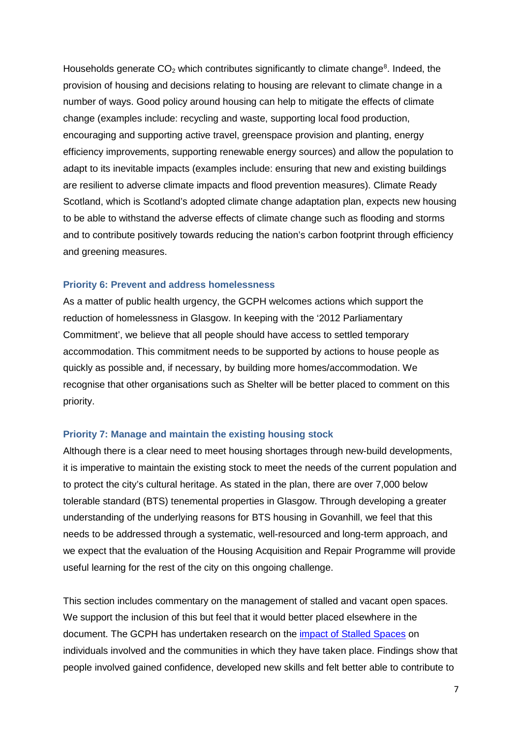Households generate  $CO<sub>2</sub>$  which contributes significantly to climate change<sup>[8](#page-11-7)</sup>. Indeed, the provision of housing and decisions relating to housing are relevant to climate change in a number of ways. Good policy around housing can help to mitigate the effects of climate change (examples include: recycling and waste, supporting local food production, encouraging and supporting active travel, greenspace provision and planting, energy efficiency improvements, supporting renewable energy sources) and allow the population to adapt to its inevitable impacts (examples include: ensuring that new and existing buildings are resilient to adverse climate impacts and flood prevention measures). Climate Ready Scotland, which is Scotland's adopted climate change adaptation plan, expects new housing to be able to withstand the adverse effects of climate change such as flooding and storms and to contribute positively towards reducing the nation's carbon footprint through efficiency and greening measures.

#### **Priority 6: Prevent and address homelessness**

As a matter of public health urgency, the GCPH welcomes actions which support the reduction of homelessness in Glasgow. In keeping with the '2012 Parliamentary Commitment', we believe that all people should have access to settled temporary accommodation. This commitment needs to be supported by actions to house people as quickly as possible and, if necessary, by building more homes/accommodation. We recognise that other organisations such as Shelter will be better placed to comment on this priority.

#### **Priority 7: Manage and maintain the existing housing stock**

Although there is a clear need to meet housing shortages through new-build developments, it is imperative to maintain the existing stock to meet the needs of the current population and to protect the city's cultural heritage. As stated in the plan, there are over 7,000 below tolerable standard (BTS) tenemental properties in Glasgow. Through developing a greater understanding of the underlying reasons for BTS housing in Govanhill, we feel that this needs to be addressed through a systematic, well-resourced and long-term approach, and we expect that the evaluation of the Housing Acquisition and Repair Programme will provide useful learning for the rest of the city on this ongoing challenge.

This section includes commentary on the management of stalled and vacant open spaces. We support the inclusion of this but feel that it would better placed elsewhere in the document. The GCPH has undertaken research on the [impact of Stalled Spaces](http://www.gcph.co.uk/publications/588_assessing_individual_community_impacts_of_stalled_spaces-funded_projects) on individuals involved and the communities in which they have taken place. Findings show that people involved gained confidence, developed new skills and felt better able to contribute to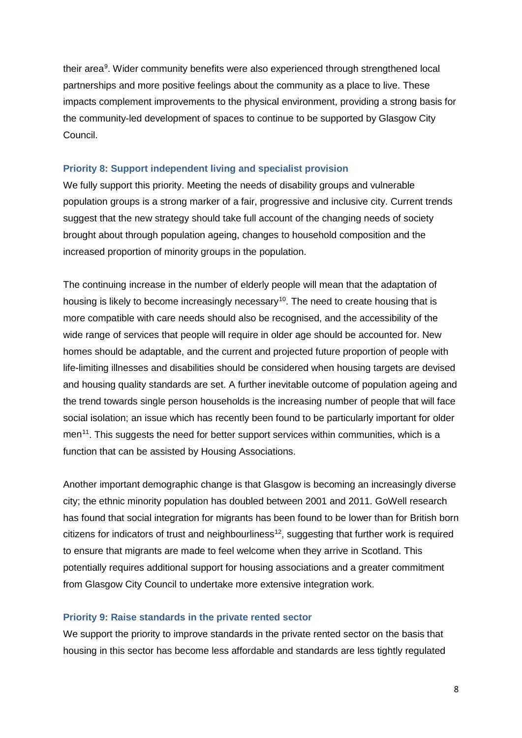their area<sup>[9](#page-11-8)</sup>. Wider community benefits were also experienced through strengthened local partnerships and more positive feelings about the community as a place to live. These impacts complement improvements to the physical environment, providing a strong basis for the community-led development of spaces to continue to be supported by Glasgow City Council.

#### **Priority 8: Support independent living and specialist provision**

We fully support this priority. Meeting the needs of disability groups and vulnerable population groups is a strong marker of a fair, progressive and inclusive city. Current trends suggest that the new strategy should take full account of the changing needs of society brought about through population ageing, changes to household composition and the increased proportion of minority groups in the population.

The continuing increase in the number of elderly people will mean that the adaptation of housing is likely to become increasingly necessary<sup>[10](#page-11-9)</sup>. The need to create housing that is more compatible with care needs should also be recognised, and the accessibility of the wide range of services that people will require in older age should be accounted for. New homes should be adaptable, and the current and projected future proportion of people with life-limiting illnesses and disabilities should be considered when housing targets are devised and housing quality standards are set. A further inevitable outcome of population ageing and the trend towards single person households is the increasing number of people that will face social isolation; an issue which has recently been found to be particularly important for older men<sup>11</sup>. This suggests the need for better support services within communities, which is a function that can be assisted by Housing Associations.

Another important demographic change is that Glasgow is becoming an increasingly diverse city; the ethnic minority population has doubled between 2001 and 2011. GoWell research has found that social integration for migrants has been found to be lower than for British born citizens for indicators of trust and neighbourliness<sup>12</sup>, suggesting that further work is required to ensure that migrants are made to feel welcome when they arrive in Scotland. This potentially requires additional support for housing associations and a greater commitment from Glasgow City Council to undertake more extensive integration work.

### **Priority 9: Raise standards in the private rented sector**

We support the priority to improve standards in the private rented sector on the basis that housing in this sector has become less affordable and standards are less tightly regulated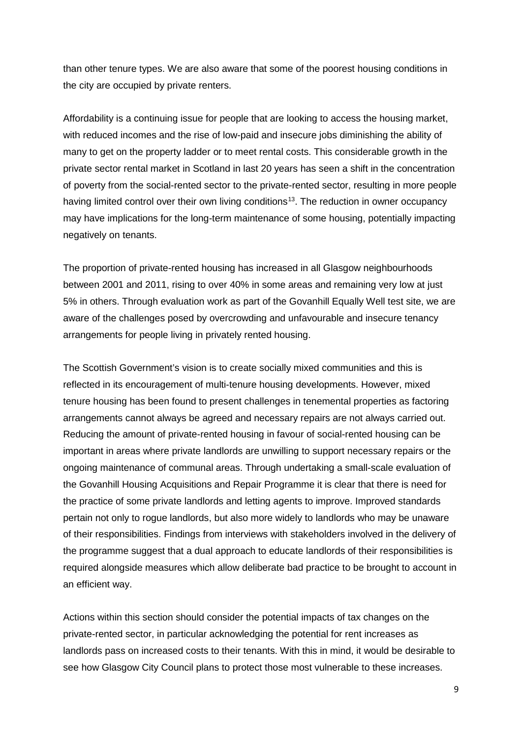than other tenure types. We are also aware that some of the poorest housing conditions in the city are occupied by private renters.

Affordability is a continuing issue for people that are looking to access the housing market, with reduced incomes and the rise of low-paid and insecure jobs diminishing the ability of many to get on the property ladder or to meet rental costs. This considerable growth in the private sector rental market in Scotland in last 20 years has seen a shift in the concentration of poverty from the social-rented sector to the private-rented sector, resulting in more people having limited control over their own living conditions<sup>[13](#page-11-12)</sup>. The reduction in owner occupancy may have implications for the long-term maintenance of some housing, potentially impacting negatively on tenants.

The proportion of private-rented housing has increased in all Glasgow neighbourhoods between 2001 and 2011, rising to over 40% in some areas and remaining very low at just 5% in others. Through evaluation work as part of the Govanhill Equally Well test site, we are aware of the challenges posed by overcrowding and unfavourable and insecure tenancy arrangements for people living in privately rented housing.

The Scottish Government's vision is to create socially mixed communities and this is reflected in its encouragement of multi-tenure housing developments. However, mixed tenure housing has been found to present challenges in tenemental properties as factoring arrangements cannot always be agreed and necessary repairs are not always carried out. Reducing the amount of private-rented housing in favour of social-rented housing can be important in areas where private landlords are unwilling to support necessary repairs or the ongoing maintenance of communal areas. Through undertaking a small-scale evaluation of the Govanhill Housing Acquisitions and Repair Programme it is clear that there is need for the practice of some private landlords and letting agents to improve. Improved standards pertain not only to rogue landlords, but also more widely to landlords who may be unaware of their responsibilities. Findings from interviews with stakeholders involved in the delivery of the programme suggest that a dual approach to educate landlords of their responsibilities is required alongside measures which allow deliberate bad practice to be brought to account in an efficient way.

Actions within this section should consider the potential impacts of tax changes on the private-rented sector, in particular acknowledging the potential for rent increases as landlords pass on increased costs to their tenants. With this in mind, it would be desirable to see how Glasgow City Council plans to protect those most vulnerable to these increases.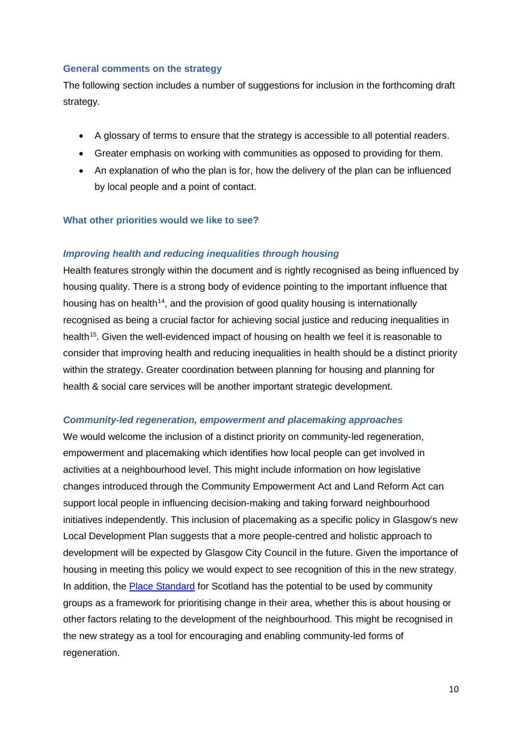## **General comments on the strategy**

The following section includes a number of suggestions for inclusion in the forthcoming draft strategy.

- A glossary of terms to ensure that the strategy is accessible to all potential readers.
- Greater emphasis on working with communities as opposed to providing for them.
- An explanation of who the plan is for, how the delivery of the plan can be influenced by local people and a point of contact.

### **What other priorities would we like to see?**

### *Improving health and reducing inequalities through housing*

Health features strongly within the document and is rightly recognised as being influenced by housing quality. There is a strong body of evidence pointing to the important influence that housing has on health<sup>14</sup>, and the provision of good quality housing is internationally recognised as being a crucial factor for achieving social justice and reducing inequalities in health<sup>15</sup>. Given the well-evidenced impact of housing on health we feel it is reasonable to consider that improving health and reducing inequalities in health should be a distinct priority within the strategy. Greater coordination between planning for housing and planning for health & social care services will be another important strategic development.

#### *Community-led regeneration, empowerment and placemaking approaches*

We would welcome the inclusion of a distinct priority on community-led regeneration, empowerment and placemaking which identifies how local people can get involved in activities at a neighbourhood level. This might include information on how legislative changes introduced through the Community Empowerment Act and Land Reform Act can support local people in influencing decision-making and taking forward neighbourhood initiatives independently. This inclusion of placemaking as a specific policy in Glasgow's new Local Development Plan suggests that a more people-centred and holistic approach to development will be expected by Glasgow City Council in the future. Given the importance of housing in meeting this policy we would expect to see recognition of this in the new strategy. In addition, the [Place Standard](http://www.placestandard.scot/#/home) for Scotland has the potential to be used by community groups as a framework for prioritising change in their area, whether this is about housing or other factors relating to the development of the neighbourhood. This might be recognised in the new strategy as a tool for encouraging and enabling community-led forms of regeneration.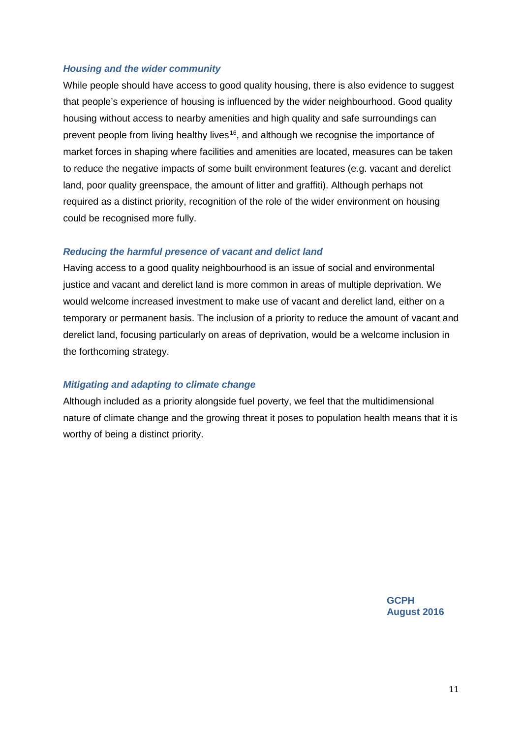### *Housing and the wider community*

While people should have access to good quality housing, there is also evidence to suggest that people's experience of housing is influenced by the wider neighbourhood. Good quality housing without access to nearby amenities and high quality and safe surroundings can prevent people from living healthy lives<sup>16</sup>, and although we recognise the importance of market forces in shaping where facilities and amenities are located, measures can be taken to reduce the negative impacts of some built environment features (e.g. vacant and derelict land, poor quality greenspace, the amount of litter and graffiti). Although perhaps not required as a distinct priority, recognition of the role of the wider environment on housing could be recognised more fully.

## *Reducing the harmful presence of vacant and delict land*

Having access to a good quality neighbourhood is an issue of social and environmental justice and vacant and derelict land is more common in areas of multiple deprivation. We would welcome increased investment to make use of vacant and derelict land, either on a temporary or permanent basis. The inclusion of a priority to reduce the amount of vacant and derelict land, focusing particularly on areas of deprivation, would be a welcome inclusion in the forthcoming strategy.

## *Mitigating and adapting to climate change*

Although included as a priority alongside fuel poverty, we feel that the multidimensional nature of climate change and the growing threat it poses to population health means that it is worthy of being a distinct priority.

> **GCPH August 2016**